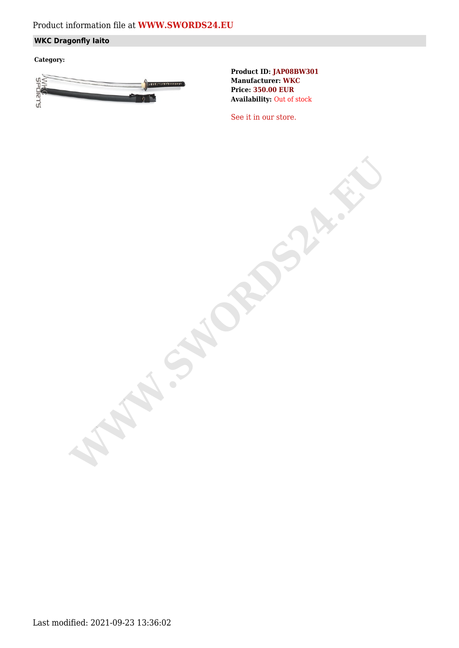# Product information file at **[WWW.SWORDS24.EU](https://www.swords24.eu)**

### **WKC Dragonfly Iaito**

**Category:**



**Product ID: JAP08BW301 Manufacturer: WKC Price: 350.00 EUR Availability:** Out of stock

[See it in our store.](https://www.swords24.eu/product/description/1124/WKC-Dragonfly-Iaito-JAP08BW302.html)

**WARDSHIP**